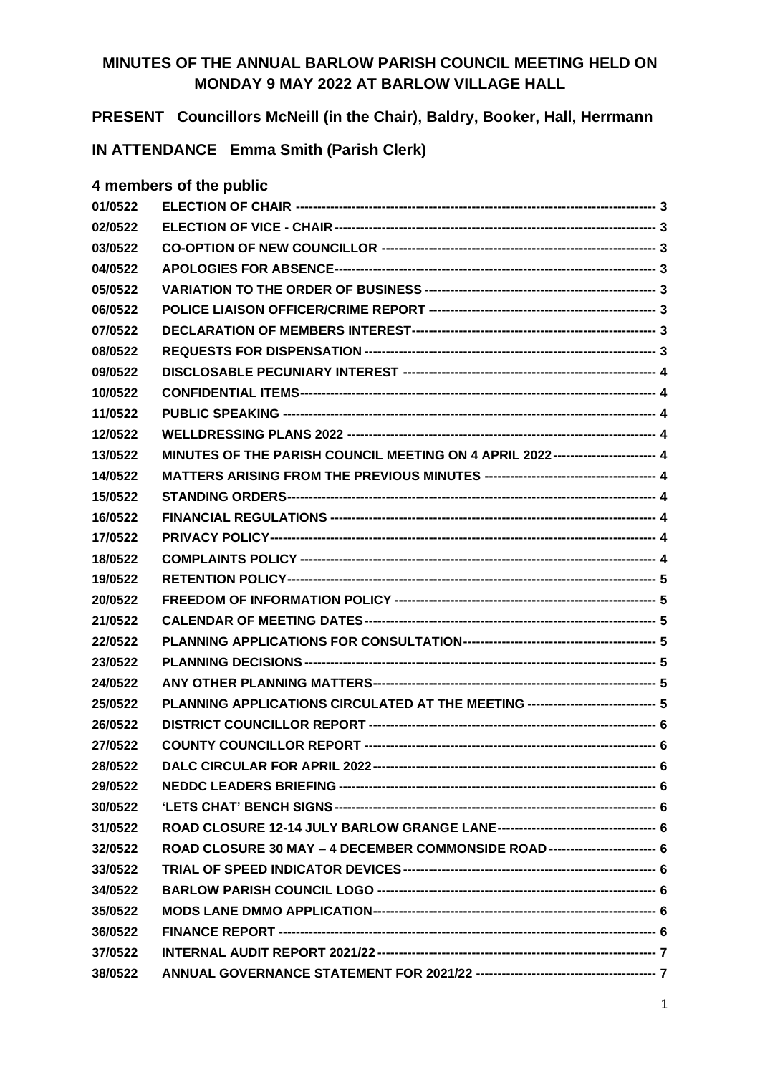## **MINUTES OF THE ANNUAL BARLOW PARISH COUNCIL MEETING HELD ON MONDAY 9 MAY 2022 AT BARLOW VILLAGE HALL**

**PRESENT Councillors McNeill (in the Chair), Baldry, Booker, Hall, Herrmann**

**IN ATTENDANCE Emma Smith (Parish Clerk)**

#### **4 members of the public**

| 01/0522 |                                                                                 |  |
|---------|---------------------------------------------------------------------------------|--|
| 02/0522 |                                                                                 |  |
| 03/0522 |                                                                                 |  |
| 04/0522 |                                                                                 |  |
| 05/0522 |                                                                                 |  |
| 06/0522 |                                                                                 |  |
| 07/0522 |                                                                                 |  |
| 08/0522 |                                                                                 |  |
| 09/0522 |                                                                                 |  |
| 10/0522 |                                                                                 |  |
| 11/0522 |                                                                                 |  |
| 12/0522 |                                                                                 |  |
| 13/0522 | MINUTES OF THE PARISH COUNCIL MEETING ON 4 APRIL 2022----------------------- 4  |  |
| 14/0522 |                                                                                 |  |
| 15/0522 |                                                                                 |  |
| 16/0522 |                                                                                 |  |
| 17/0522 |                                                                                 |  |
| 18/0522 |                                                                                 |  |
| 19/0522 |                                                                                 |  |
| 20/0522 |                                                                                 |  |
| 21/0522 |                                                                                 |  |
| 22/0522 |                                                                                 |  |
| 23/0522 |                                                                                 |  |
| 24/0522 |                                                                                 |  |
| 25/0522 | PLANNING APPLICATIONS CIRCULATED AT THE MEETING ----------------------------- 5 |  |
| 26/0522 |                                                                                 |  |
| 27/0522 |                                                                                 |  |
| 28/0522 |                                                                                 |  |
| 29/0522 |                                                                                 |  |
| 30/0522 |                                                                                 |  |
| 31/0522 |                                                                                 |  |
| 32/0522 | ROAD CLOSURE 30 MAY - 4 DECEMBER COMMONSIDE ROAD ------------------------ 6     |  |
| 33/0522 |                                                                                 |  |
| 34/0522 |                                                                                 |  |
| 35/0522 |                                                                                 |  |
| 36/0522 |                                                                                 |  |
| 37/0522 |                                                                                 |  |
| 38/0522 |                                                                                 |  |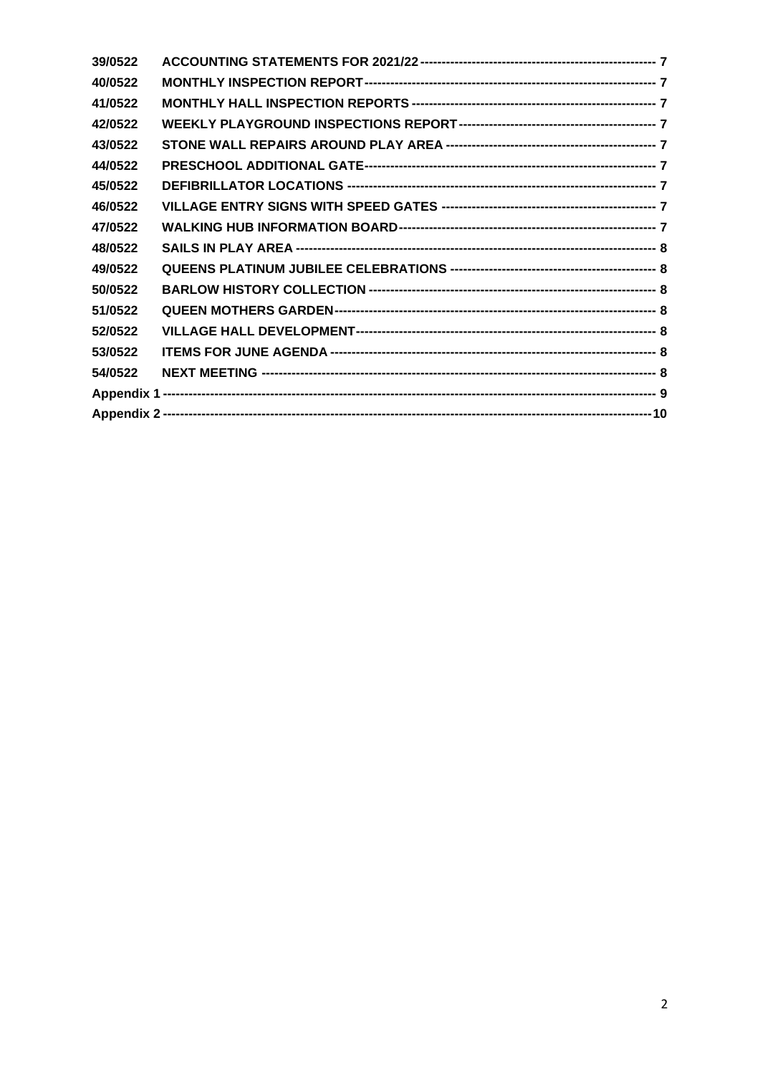| 39/0522 |  |
|---------|--|
| 40/0522 |  |
| 41/0522 |  |
| 42/0522 |  |
| 43/0522 |  |
| 44/0522 |  |
| 45/0522 |  |
| 46/0522 |  |
| 47/0522 |  |
| 48/0522 |  |
| 49/0522 |  |
| 50/0522 |  |
| 51/0522 |  |
| 52/0522 |  |
| 53/0522 |  |
| 54/0522 |  |
|         |  |
|         |  |
|         |  |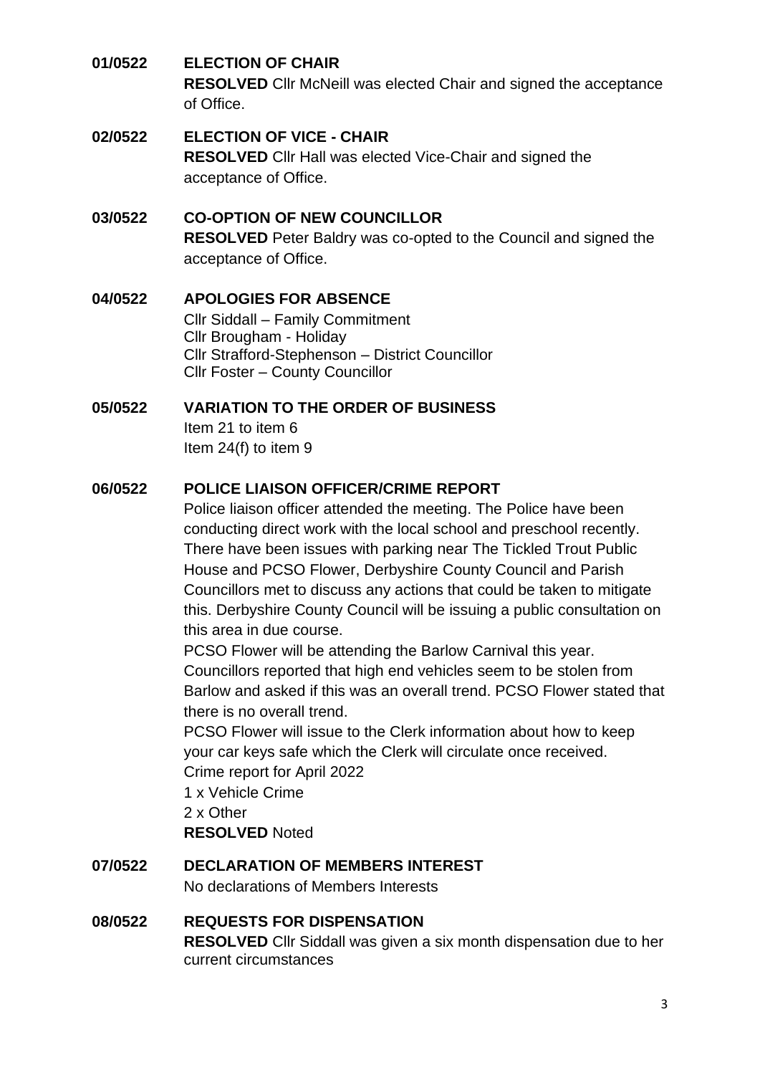#### <span id="page-2-0"></span>**01/0522 ELECTION OF CHAIR**

**RESOLVED** Cllr McNeill was elected Chair and signed the acceptance of Office.

#### <span id="page-2-1"></span>**02/0522 ELECTION OF VICE - CHAIR**

**RESOLVED** Cllr Hall was elected Vice-Chair and signed the acceptance of Office.

# <span id="page-2-2"></span>**03/0522 CO-OPTION OF NEW COUNCILLOR**

**RESOLVED** Peter Baldry was co-opted to the Council and signed the acceptance of Office.

#### <span id="page-2-3"></span>**04/0522 APOLOGIES FOR ABSENCE**

Cllr Siddall – Family Commitment Cllr Brougham - Holiday Cllr Strafford-Stephenson – District Councillor Cllr Foster – County Councillor

#### <span id="page-2-4"></span>**05/0522 VARIATION TO THE ORDER OF BUSINESS**

Item 21 to item 6 Item 24(f) to item 9

#### <span id="page-2-5"></span>**06/0522 POLICE LIAISON OFFICER/CRIME REPORT**

Police liaison officer attended the meeting. The Police have been conducting direct work with the local school and preschool recently. There have been issues with parking near The Tickled Trout Public House and PCSO Flower, Derbyshire County Council and Parish Councillors met to discuss any actions that could be taken to mitigate this. Derbyshire County Council will be issuing a public consultation on this area in due course.

PCSO Flower will be attending the Barlow Carnival this year. Councillors reported that high end vehicles seem to be stolen from Barlow and asked if this was an overall trend. PCSO Flower stated that there is no overall trend.

PCSO Flower will issue to the Clerk information about how to keep your car keys safe which the Clerk will circulate once received. Crime report for April 2022

1 x Vehicle Crime

2 x Other

**RESOLVED** Noted

#### <span id="page-2-6"></span>**07/0522 DECLARATION OF MEMBERS INTEREST**

No declarations of Members Interests

#### <span id="page-2-7"></span>**08/0522 REQUESTS FOR DISPENSATION**

**RESOLVED** Cllr Siddall was given a six month dispensation due to her current circumstances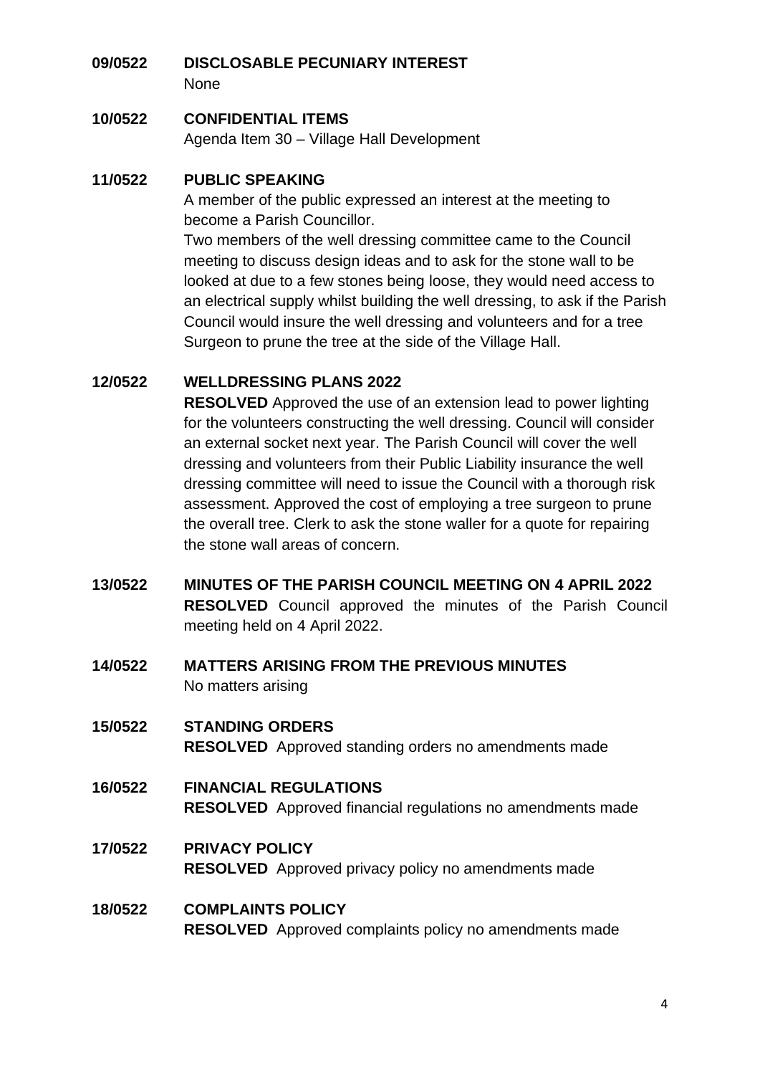# <span id="page-3-0"></span>**09/0522 DISCLOSABLE PECUNIARY INTEREST**

None

#### <span id="page-3-1"></span>**10/0522 CONFIDENTIAL ITEMS**

Agenda Item 30 – Village Hall Development

#### <span id="page-3-2"></span>**11/0522 PUBLIC SPEAKING**

A member of the public expressed an interest at the meeting to become a Parish Councillor.

Two members of the well dressing committee came to the Council meeting to discuss design ideas and to ask for the stone wall to be looked at due to a few stones being loose, they would need access to an electrical supply whilst building the well dressing, to ask if the Parish Council would insure the well dressing and volunteers and for a tree Surgeon to prune the tree at the side of the Village Hall.

#### <span id="page-3-3"></span>**12/0522 WELLDRESSING PLANS 2022**

**RESOLVED** Approved the use of an extension lead to power lighting for the volunteers constructing the well dressing. Council will consider an external socket next year. The Parish Council will cover the well dressing and volunteers from their Public Liability insurance the well dressing committee will need to issue the Council with a thorough risk assessment. Approved the cost of employing a tree surgeon to prune the overall tree. Clerk to ask the stone waller for a quote for repairing the stone wall areas of concern.

- <span id="page-3-4"></span>**13/0522 MINUTES OF THE PARISH COUNCIL MEETING ON 4 APRIL 2022 RESOLVED** Council approved the minutes of the Parish Council meeting held on 4 April 2022.
- <span id="page-3-5"></span>**14/0522 MATTERS ARISING FROM THE PREVIOUS MINUTES**  No matters arising
- <span id="page-3-6"></span>**15/0522 STANDING ORDERS RESOLVED** Approved standing orders no amendments made
- <span id="page-3-7"></span>**16/0522 FINANCIAL REGULATIONS RESOLVED** Approved financial regulations no amendments made
- <span id="page-3-8"></span>**17/0522 PRIVACY POLICY RESOLVED** Approved privacy policy no amendments made

## <span id="page-3-9"></span>**18/0522 COMPLAINTS POLICY RESOLVED** Approved complaints policy no amendments made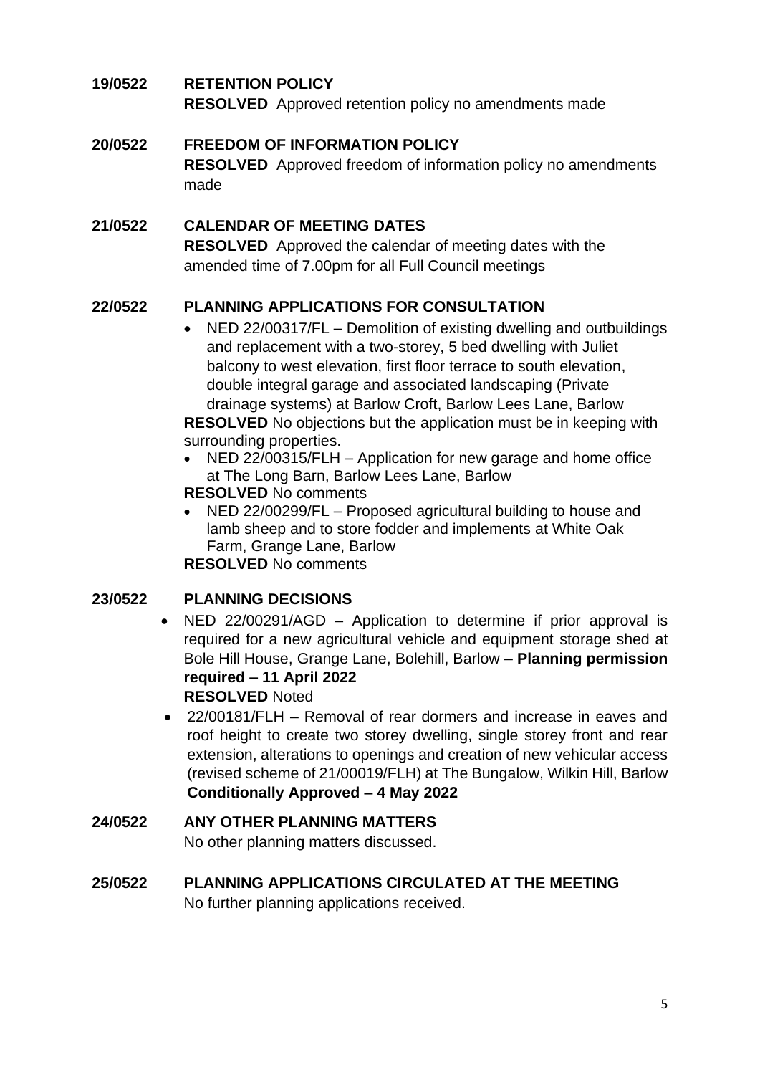#### <span id="page-4-0"></span>**19/0522 RETENTION POLICY**

**RESOLVED** Approved retention policy no amendments made

#### <span id="page-4-1"></span>**20/0522 FREEDOM OF INFORMATION POLICY**

**RESOLVED** Approved freedom of information policy no amendments made

## <span id="page-4-2"></span>**21/0522 CALENDAR OF MEETING DATES**

**RESOLVED** Approved the calendar of meeting dates with the amended time of 7.00pm for all Full Council meetings

## <span id="page-4-3"></span>**22/0522 PLANNING APPLICATIONS FOR CONSULTATION**

• NED 22/00317/FL – Demolition of existing dwelling and outbuildings and replacement with a two-storey, 5 bed dwelling with Juliet balcony to west elevation, first floor terrace to south elevation, double integral garage and associated landscaping (Private drainage systems) at Barlow Croft, Barlow Lees Lane, Barlow

**RESOLVED** No objections but the application must be in keeping with surrounding properties.

- NED 22/00315/FLH Application for new garage and home office at The Long Barn, Barlow Lees Lane, Barlow
- **RESOLVED** No comments
- NED 22/00299/FL Proposed agricultural building to house and lamb sheep and to store fodder and implements at White Oak Farm, Grange Lane, Barlow

**RESOLVED** No comments

#### <span id="page-4-4"></span>**23/0522 PLANNING DECISIONS**

- NED 22/00291/AGD Application to determine if prior approval is required for a new agricultural vehicle and equipment storage shed at Bole Hill House, Grange Lane, Bolehill, Barlow – **Planning permission required – 11 April 2022 RESOLVED** Noted
- 22/00181/FLH Removal of rear dormers and increase in eaves and roof height to create two storey dwelling, single storey front and rear extension, alterations to openings and creation of new vehicular access (revised scheme of 21/00019/FLH) at The Bungalow, Wilkin Hill, Barlow **Conditionally Approved – 4 May 2022**

#### <span id="page-4-5"></span>**24/0522 ANY OTHER PLANNING MATTERS** No other planning matters discussed.

#### <span id="page-4-6"></span>**25/0522 PLANNING APPLICATIONS CIRCULATED AT THE MEETING** No further planning applications received.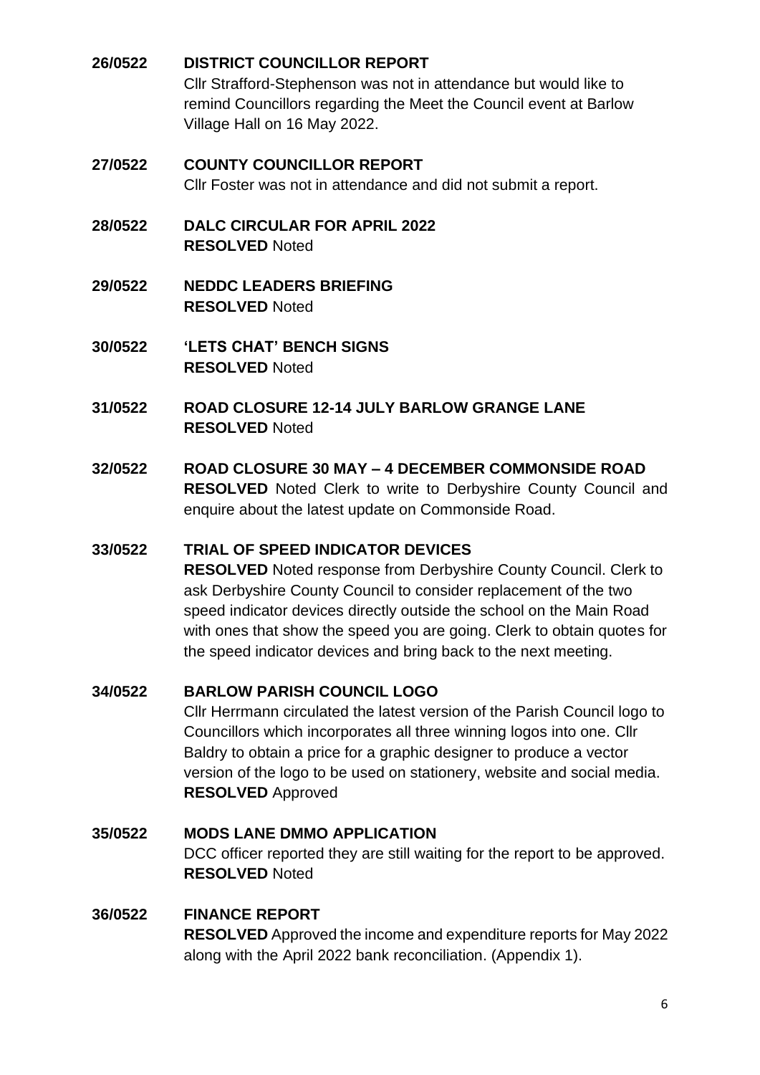## <span id="page-5-0"></span>**26/0522 DISTRICT COUNCILLOR REPORT**

Cllr Strafford-Stephenson was not in attendance but would like to remind Councillors regarding the Meet the Council event at Barlow Village Hall on 16 May 2022.

# <span id="page-5-1"></span>**27/0522 COUNTY COUNCILLOR REPORT**

Cllr Foster was not in attendance and did not submit a report.

- <span id="page-5-2"></span>**28/0522 DALC CIRCULAR FOR APRIL 2022 RESOLVED** Noted
- <span id="page-5-3"></span>**29/0522 NEDDC LEADERS BRIEFING RESOLVED** Noted
- <span id="page-5-4"></span>**30/0522 'LETS CHAT' BENCH SIGNS RESOLVED** Noted
- <span id="page-5-5"></span>**31/0522 ROAD CLOSURE 12-14 JULY BARLOW GRANGE LANE RESOLVED** Noted
- <span id="page-5-6"></span>**32/0522 ROAD CLOSURE 30 MAY – 4 DECEMBER COMMONSIDE ROAD RESOLVED** Noted Clerk to write to Derbyshire County Council and enquire about the latest update on Commonside Road.

#### <span id="page-5-7"></span>**33/0522 TRIAL OF SPEED INDICATOR DEVICES**

**RESOLVED** Noted response from Derbyshire County Council. Clerk to ask Derbyshire County Council to consider replacement of the two speed indicator devices directly outside the school on the Main Road with ones that show the speed you are going. Clerk to obtain quotes for the speed indicator devices and bring back to the next meeting.

## <span id="page-5-8"></span>**34/0522 BARLOW PARISH COUNCIL LOGO**

Cllr Herrmann circulated the latest version of the Parish Council logo to Councillors which incorporates all three winning logos into one. Cllr Baldry to obtain a price for a graphic designer to produce a vector version of the logo to be used on stationery, website and social media. **RESOLVED** Approved

## <span id="page-5-9"></span>**35/0522 MODS LANE DMMO APPLICATION** DCC officer reported they are still waiting for the report to be approved. **RESOLVED** Noted

#### <span id="page-5-10"></span>**36/0522 FINANCE REPORT**

**RESOLVED** Approved the income and expenditure reports for May 2022 along with the April 2022 bank reconciliation. (Appendix 1).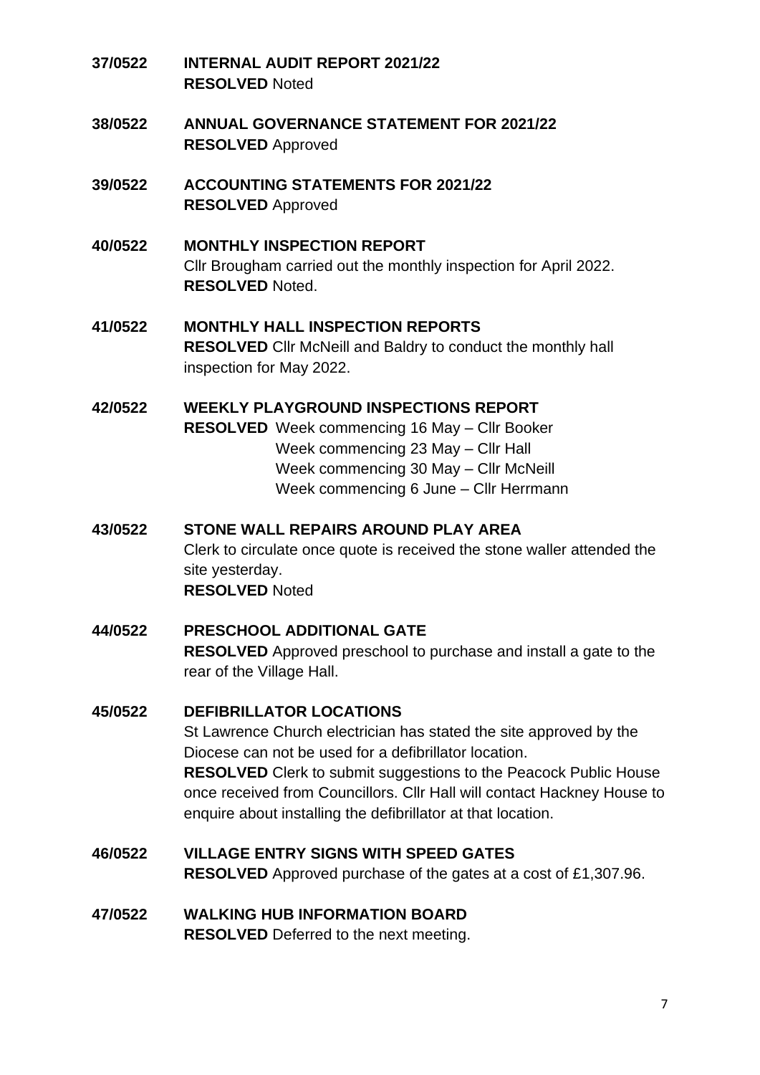- <span id="page-6-0"></span>**37/0522 INTERNAL AUDIT REPORT 2021/22 RESOLVED** Noted
- <span id="page-6-1"></span>**38/0522 ANNUAL GOVERNANCE STATEMENT FOR 2021/22 RESOLVED** Approved
- <span id="page-6-2"></span>**39/0522 ACCOUNTING STATEMENTS FOR 2021/22 RESOLVED** Approved
- <span id="page-6-3"></span>**40/0522 MONTHLY INSPECTION REPORT** Cllr Brougham carried out the monthly inspection for April 2022. **RESOLVED** Noted.
- <span id="page-6-4"></span>**41/0522 MONTHLY HALL INSPECTION REPORTS RESOLVED** Cllr McNeill and Baldry to conduct the monthly hall inspection for May 2022.

<span id="page-6-5"></span>**42/0522 WEEKLY PLAYGROUND INSPECTIONS REPORT RESOLVED** Week commencing 16 May – Cllr Booker Week commencing 23 May – Cllr Hall Week commencing 30 May – Cllr McNeill Week commencing 6 June – Cllr Herrmann

<span id="page-6-6"></span>**43/0522 STONE WALL REPAIRS AROUND PLAY AREA** Clerk to circulate once quote is received the stone waller attended the site yesterday. **RESOLVED** Noted

<span id="page-6-7"></span>**44/0522 PRESCHOOL ADDITIONAL GATE RESOLVED** Approved preschool to purchase and install a gate to the rear of the Village Hall.

## <span id="page-6-8"></span>**45/0522 DEFIBRILLATOR LOCATIONS**

St Lawrence Church electrician has stated the site approved by the Diocese can not be used for a defibrillator location. **RESOLVED** Clerk to submit suggestions to the Peacock Public House once received from Councillors. Cllr Hall will contact Hackney House to enquire about installing the defibrillator at that location.

- <span id="page-6-9"></span>**46/0522 VILLAGE ENTRY SIGNS WITH SPEED GATES RESOLVED** Approved purchase of the gates at a cost of £1,307.96.
- <span id="page-6-10"></span>**47/0522 WALKING HUB INFORMATION BOARD RESOLVED** Deferred to the next meeting.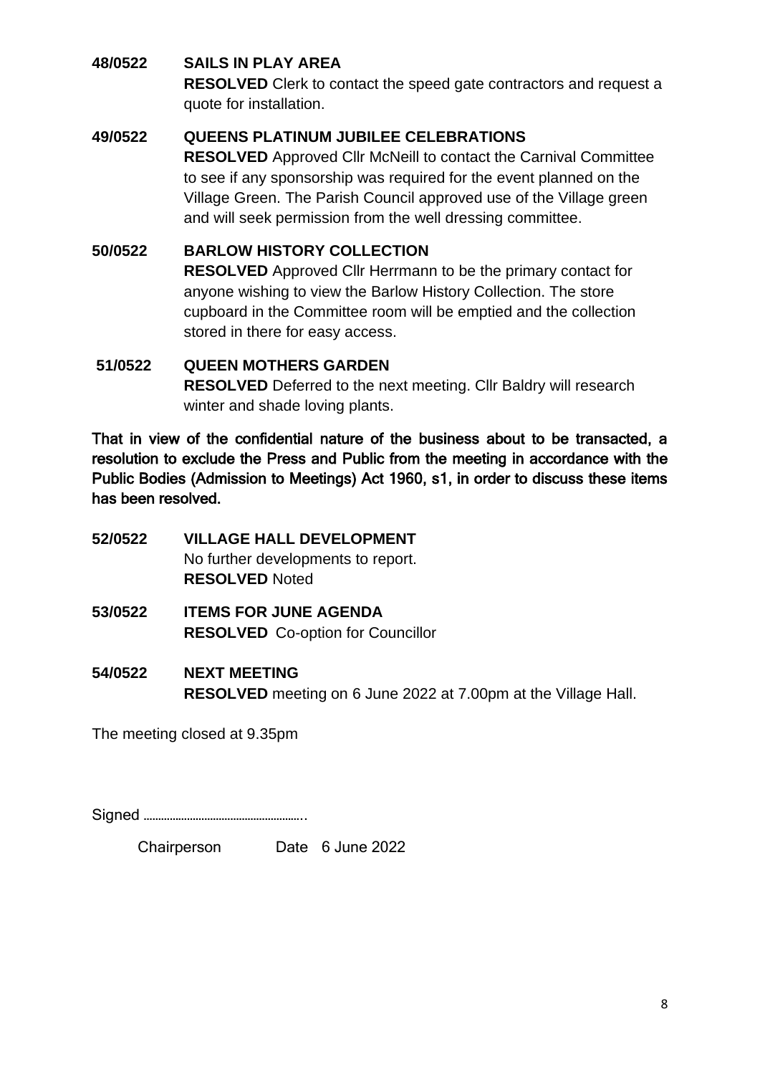#### <span id="page-7-0"></span>**48/0522 SAILS IN PLAY AREA**

**RESOLVED** Clerk to contact the speed gate contractors and request a quote for installation.

## <span id="page-7-1"></span>**49/0522 QUEENS PLATINUM JUBILEE CELEBRATIONS**

**RESOLVED** Approved Cllr McNeill to contact the Carnival Committee to see if any sponsorship was required for the event planned on the Village Green. The Parish Council approved use of the Village green and will seek permission from the well dressing committee.

## <span id="page-7-2"></span>**50/0522 BARLOW HISTORY COLLECTION**

**RESOLVED** Approved Cllr Herrmann to be the primary contact for anyone wishing to view the Barlow History Collection. The store cupboard in the Committee room will be emptied and the collection stored in there for easy access.

## <span id="page-7-3"></span>**51/0522 QUEEN MOTHERS GARDEN RESOLVED** Deferred to the next meeting. Cllr Baldry will research winter and shade loving plants.

That in view of the confidential nature of the business about to be transacted, a resolution to exclude the Press and Public from the meeting in accordance with the Public Bodies (Admission to Meetings) Act 1960, s1, in order to discuss these items has been resolved.

- <span id="page-7-4"></span>**52/0522 VILLAGE HALL DEVELOPMENT** No further developments to report. **RESOLVED** Noted
- <span id="page-7-5"></span>**53/0522 ITEMS FOR JUNE AGENDA RESOLVED** Co-option for Councillor
- <span id="page-7-6"></span>**54/0522 NEXT MEETING RESOLVED** meeting on 6 June 2022 at 7.00pm at the Village Hall.

The meeting closed at 9.35pm

Signed ………………………………………………..

Chairperson Date 6 June 2022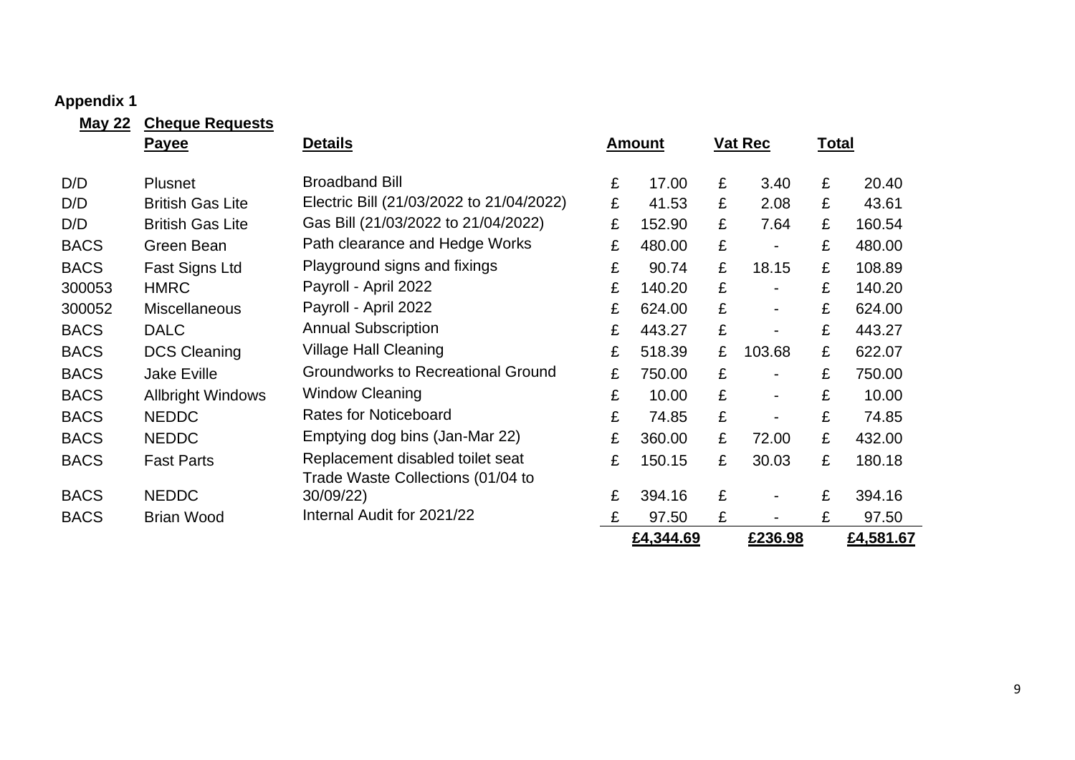# **Appendix 1**

<span id="page-8-0"></span>

| <b>May 22</b> | <b>Cheque Requests</b>   |                                           |   |               |   |                          |              |           |
|---------------|--------------------------|-------------------------------------------|---|---------------|---|--------------------------|--------------|-----------|
|               | Payee                    | <b>Details</b>                            |   | <u>Amount</u> |   | <b>Vat Rec</b>           | <u>Total</u> |           |
| D/D           | <b>Plusnet</b>           | <b>Broadband Bill</b>                     | £ | 17.00         | £ | 3.40                     | £            | 20.40     |
| D/D           | <b>British Gas Lite</b>  | Electric Bill (21/03/2022 to 21/04/2022)  | £ | 41.53         | £ | 2.08                     | £            | 43.61     |
| D/D           | <b>British Gas Lite</b>  | Gas Bill (21/03/2022 to 21/04/2022)       | £ | 152.90        | £ | 7.64                     | £            | 160.54    |
| <b>BACS</b>   | Green Bean               | Path clearance and Hedge Works            | £ | 480.00        | £ | $\blacksquare$           | £            | 480.00    |
| <b>BACS</b>   | Fast Signs Ltd           | Playground signs and fixings              | £ | 90.74         | £ | 18.15                    | £            | 108.89    |
| 300053        | <b>HMRC</b>              | Payroll - April 2022                      | £ | 140.20        | £ | $\overline{\phantom{0}}$ | £            | 140.20    |
| 300052        | <b>Miscellaneous</b>     | Payroll - April 2022                      | £ | 624.00        | £ | $\blacksquare$           | £            | 624.00    |
| <b>BACS</b>   | <b>DALC</b>              | <b>Annual Subscription</b>                | £ | 443.27        | £ | $\overline{\phantom{0}}$ | £            | 443.27    |
| <b>BACS</b>   | <b>DCS Cleaning</b>      | <b>Village Hall Cleaning</b>              | £ | 518.39        | £ | 103.68                   | £            | 622.07    |
| <b>BACS</b>   | <b>Jake Eville</b>       | <b>Groundworks to Recreational Ground</b> | £ | 750.00        | £ | $\blacksquare$           | £            | 750.00    |
| <b>BACS</b>   | <b>Allbright Windows</b> | <b>Window Cleaning</b>                    | £ | 10.00         | £ | $\overline{\phantom{a}}$ | £            | 10.00     |
| <b>BACS</b>   | <b>NEDDC</b>             | <b>Rates for Noticeboard</b>              | £ | 74.85         | £ | $\overline{\phantom{0}}$ | £            | 74.85     |
| <b>BACS</b>   | <b>NEDDC</b>             | Emptying dog bins (Jan-Mar 22)            | £ | 360.00        | £ | 72.00                    | £            | 432.00    |
| <b>BACS</b>   | <b>Fast Parts</b>        | Replacement disabled toilet seat          | £ | 150.15        | £ | 30.03                    | £            | 180.18    |
|               |                          | Trade Waste Collections (01/04 to         |   |               |   |                          |              |           |
| <b>BACS</b>   | <b>NEDDC</b>             | 30/09/22)                                 | £ | 394.16        | £ | $\blacksquare$           | £            | 394.16    |
| <b>BACS</b>   | <b>Brian Wood</b>        | Internal Audit for 2021/22                | £ | 97.50         | £ |                          | £            | 97.50     |
|               |                          |                                           |   | £4,344.69     |   | £236.98                  |              | £4,581.67 |